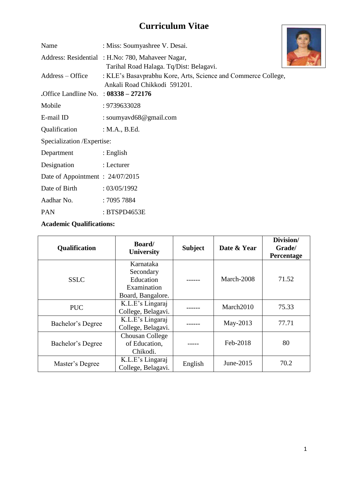# **Curriculum Vitae**

|                                         | Curriculum Vitae                                                                              |  |
|-----------------------------------------|-----------------------------------------------------------------------------------------------|--|
| Name                                    | : Miss: Soumyashree V. Desai.                                                                 |  |
|                                         | Address: Residential : H.No: 780, Mahaveer Nagar,<br>Tarihal Road Halaga. Tq/Dist: Belagavi.  |  |
| Address – Office                        | : KLE's Basavprabhu Kore, Arts, Science and Commerce College,<br>Ankali Road Chikkodi 591201. |  |
| .Office Landline No. : $08338 - 272176$ |                                                                                               |  |
| Mobile                                  | : 9739633028                                                                                  |  |
| E-mail ID                               | : soumyavd $68@$ gmail.com                                                                    |  |
| Qualification                           | : $M.A., B.Ed.$                                                                               |  |
| Specialization / Expertise:             |                                                                                               |  |
| Department                              | $:$ English                                                                                   |  |
| Designation                             | : Lecturer                                                                                    |  |
| Date of Appointment: 24/07/2015         |                                                                                               |  |
| Date of Birth                           | : 03/05/1992                                                                                  |  |
| Aadhar No.                              | : 7095 7884                                                                                   |  |
| PAN                                     | : BTSPD4653E                                                                                  |  |

### **Academic Qualifications:**

| Qualification     | <b>Board</b> /<br><b>University</b>                                     | <b>Subject</b> | Date & Year | Division/<br>Grade/<br>Percentage |
|-------------------|-------------------------------------------------------------------------|----------------|-------------|-----------------------------------|
| <b>SSLC</b>       | Karnataka<br>Secondary<br>Education<br>Examination<br>Board, Bangalore. |                | March-2008  | 71.52                             |
| <b>PUC</b>        | K.L.E's Lingaraj<br>College, Belagavi.                                  |                | March2010   | 75.33                             |
| Bachelor's Degree | K.L.E's Lingaraj<br>College, Belagavi.                                  |                | May-2013    | 77.71                             |
| Bachelor's Degree | Chousan College<br>of Education,<br>Chikodi.                            |                | Feb-2018    | 80                                |
| Master's Degree   | K.L.E's Lingaraj<br>College, Belagavi.                                  | English        | June-2015   | 70.2                              |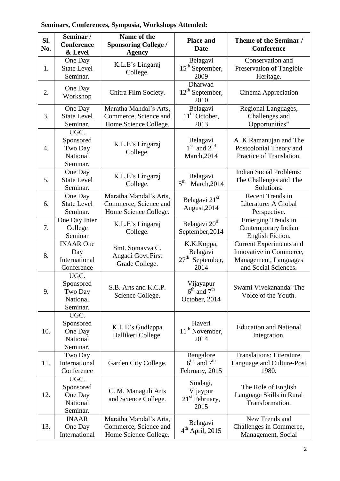# **Seminars, Conferences, Symposia, Workshops Attended:**

| Sl.<br>No. | Seminar/<br><b>Conference</b><br>& Level               | Name of the<br><b>Sponsoring College /</b><br><b>Agency</b>              | <b>Place and</b><br><b>Date</b>                                    | Theme of the Seminar /<br><b>Conference</b>                                                                |
|------------|--------------------------------------------------------|--------------------------------------------------------------------------|--------------------------------------------------------------------|------------------------------------------------------------------------------------------------------------|
| 1.         | One Day<br><b>State Level</b><br>Seminar.              | K.L.E's Lingaraj<br>College.                                             | Belagavi<br>15 <sup>th</sup> September,<br>2009                    | Conservation and<br>Preservation of Tangible<br>Heritage.                                                  |
| 2.         | One Day<br>Workshop                                    | Chitra Film Society.                                                     | Dharwad<br>$12th$ September,<br>2010                               | Cinema Appreciation                                                                                        |
| 3.         | One Day<br><b>State Level</b><br>Seminar.              | Maratha Mandal's Arts,<br>Commerce, Science and<br>Home Science College. | Belagavi<br>$11th$ October,<br>2013                                | Regional Languages,<br>Challenges and<br>Opportunities"                                                    |
| 4.         | UGC.<br>Sponsored<br>Two Day<br>National<br>Seminar.   | K.L.E's Lingaraj<br>College.                                             | Belagavi<br>$1st$ and $2nd$<br>March, 2014                         | A K Ramanujan and The<br>Postcolonial Theory and<br>Practice of Translation.                               |
| 5.         | One Day<br><b>State Level</b><br>Seminar.              | K.L.E's Lingaraj<br>College.                                             | Belagavi<br>5 <sup>th</sup><br>March, 2014                         | <b>Indian Social Problems:</b><br>The Challenges and The<br>Solutions.                                     |
| 6.         | One Day<br><b>State Level</b><br>Seminar.              | Maratha Mandal's Arts,<br>Commerce, Science and<br>Home Science College. | Belagavi 21 <sup>st</sup><br>August, 2014                          | Recent Trends in<br>Literature: A Global<br>Perspective.                                                   |
| 7.         | One Day Inter<br>College<br>Seminar                    | K.L.E's Lingaraj<br>College.                                             | Belagavi 20 <sup>th</sup><br>September, 2014                       | <b>Emerging Trends in</b><br>Contemporary Indian<br>English Fiction.                                       |
| 8.         | <b>INAAR</b> One<br>Day<br>International<br>Conference | Smt. Somavva C.<br>Angadi Govt.First<br>Grade College.                   | K.K.Koppa,<br>Belagavi<br>$27th$ September,<br>2014                | <b>Current Experiments and</b><br>Innovative in Commerce,<br>Management, Languages<br>and Social Sciences. |
| 9.         | UGC.<br>Sponsored<br>Two Day<br>National<br>Seminar.   | S.B. Arts and K.C.P.<br>Science College.                                 | Vijayapur<br>$6^{\text{th}}$ and $7^{\text{th}}$<br>October, 2014  | Swami Vivekananda: The<br>Voice of the Youth.                                                              |
| 10.        | UGC.<br>Sponsored<br>One Day<br>National<br>Seminar.   | K.L.E's Gudleppa<br>Hallikeri College.                                   | Haveri<br>11 <sup>th</sup> November,<br>2014                       | <b>Education and National</b><br>Integration.                                                              |
| 11.        | Two Day<br>International<br>Conference                 | Garden City College.                                                     | Bangalore<br>$6^{\text{th}}$ and $7^{\text{th}}$<br>February, 2015 | Translations: Literature,<br>Language and Culture-Post<br>1980.                                            |
| 12.        | UGC.<br>Sponsored<br>One Day<br>National<br>Seminar.   | C. M. Managuli Arts<br>and Science College.                              | Sindagi,<br>Vijaypur<br>$21st$ February,<br>2015                   | The Role of English<br>Language Skills in Rural<br>Transformation.                                         |
| 13.        | <b>INAAR</b><br>One Day<br>International               | Maratha Mandal's Arts,<br>Commerce, Science and<br>Home Science College. | Belagavi<br>$4th$ April, 2015                                      | New Trends and<br>Challenges in Commerce,<br>Management, Social                                            |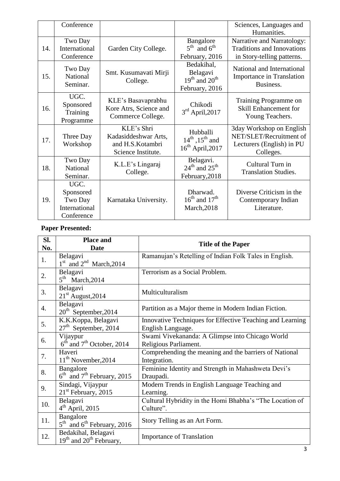|     | Conference                                                  |                                                                              |                                                                    | Sciences, Languages and<br>Humanities.                                                        |
|-----|-------------------------------------------------------------|------------------------------------------------------------------------------|--------------------------------------------------------------------|-----------------------------------------------------------------------------------------------|
| 14. | Two Day<br>International<br>Conference                      | Garden City College.                                                         | Bangalore<br>$5^{\text{th}}$ and $6^{\text{th}}$<br>February, 2016 | Narrative and Narratology:<br><b>Traditions and Innovations</b><br>in Story-telling patterns. |
| 15. | Two Day<br>National<br>Seminar.                             | Smt. Kusumavati Mirji<br>College.                                            | Bedakihal,<br>Belagavi<br>$19th$ and $20th$<br>February, 2016      | National and International<br><b>Importance in Translation</b><br>Business.                   |
| 16. | UGC.<br>Sponsored<br>Training<br>Programme                  | KLE's Basavaprabhu<br>Kore Atrs, Science and<br>Commerce College.            | Chikodi<br>$3rd$ April, 2017                                       | Training Programme on<br><b>Skill Enhancement for</b><br>Young Teachers.                      |
| 17. | Three Day<br>Workshop                                       | KLE's Shri<br>Kadasiddeshwar Arts,<br>and H.S.Kotambri<br>Science Institute. | Hubballi<br>$14^{th}$ , $15^{th}$ and<br>$16th$ April, 2017        | 3day Workshop on English<br>NET/SLET/Recruitment of<br>Lecturers (English) in PU<br>Colleges. |
| 18. | Two Day<br>National<br>Seminar.                             | K.L.E's Lingaraj<br>College.                                                 | Belagavi.<br>$24th$ and $25th$<br>February, 2018                   | Cultural Turn in<br><b>Translation Studies.</b>                                               |
| 19. | UGC.<br>Sponsored<br>Two Day<br>International<br>Conference | Karnataka University.                                                        | Dharwad.<br>$16^{\text{th}}$ and $17^{\text{th}}$<br>March, 2018   | Diverse Criticism in the<br>Contemporary Indian<br>Literature.                                |

#### **Paper Presented:**

| Sl.<br>No.       | <b>Place and</b><br><b>Date</b>                                        | <b>Title of the Paper</b>                                                      |  |  |
|------------------|------------------------------------------------------------------------|--------------------------------------------------------------------------------|--|--|
| 1.               | Belagavi<br>$1st$ and $2nd$ March, 2014                                | Ramanujan's Retelling of Indian Folk Tales in English.                         |  |  |
| 2.               | Belagavi<br>$5th$ March, 2014                                          | Terrorism as a Social Problem.                                                 |  |  |
| 3.               | Belagavi<br>$21st$ August, 2014                                        | Multiculturalism                                                               |  |  |
| $\overline{4}$ . | Belagavi<br>$20th$ September, 2014                                     | Partition as a Major theme in Modern Indian Fiction.                           |  |  |
| 5.               | K.K.Koppa, Belagavi<br>$27th$ September, 2014                          | Innovative Techniques for Effective Teaching and Learning<br>English Language. |  |  |
| 6.               | Vijaypur<br>$6th$ and $7th$ October, 2014                              | Swami Vivekananda: A Glimpse into Chicago World<br>Religious Parliament.       |  |  |
| 7.               | Haveri<br>$11th$ November, 2014                                        | Comprehending the meaning and the barriers of National<br>Integration.         |  |  |
| 8.               | Bangalore<br>$6th$ and $7th$ February, 2015                            | Feminine Identity and Strength in Mahashweta Devi's<br>Draupadi.               |  |  |
| 9.               | Sindagi, Vijaypur<br>21 <sup>st</sup> February, 2015                   | Modern Trends in English Language Teaching and<br>Learning.                    |  |  |
| 10.              | Belagavi<br>$4th$ April, 2015                                          | Cultural Hybridity in the Homi Bhabha's "The Location of<br>Culture".          |  |  |
| 11.              | Bangalore<br>$5th$ and $6th$ February, 2016                            | Story Telling as an Art Form.                                                  |  |  |
| 12.              | Bedakihal, Belagavi<br>19 <sup>th</sup> and 20 <sup>th</sup> February, | <b>Importance of Translation</b>                                               |  |  |